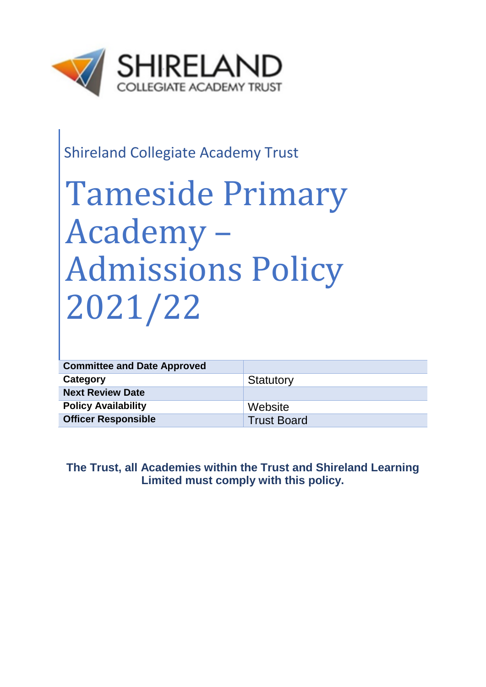

# Shireland Collegiate Academy Trust

# Tameside Primary Academy – Admissions Policy 2021/22

| <b>Committee and Date Approved</b> |                    |
|------------------------------------|--------------------|
| Category                           | Statutory          |
| <b>Next Review Date</b>            |                    |
| <b>Policy Availability</b>         | Website            |
| <b>Officer Responsible</b>         | <b>Trust Board</b> |

# **The Trust, all Academies within the Trust and Shireland Learning Limited must comply with this policy.**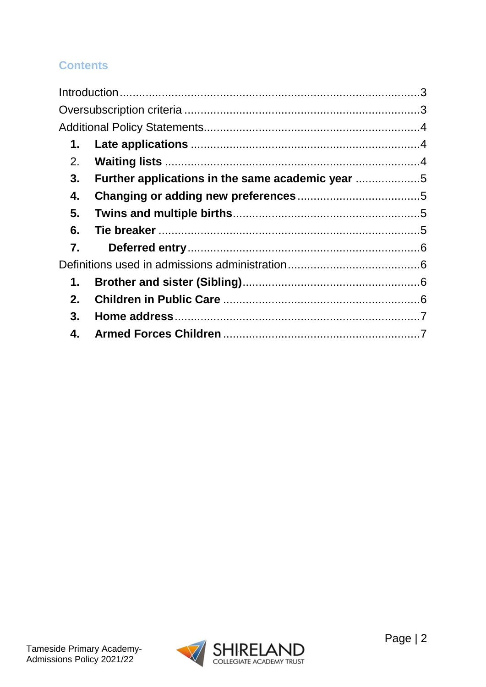# **Contents**

| 1. |                                                |  |
|----|------------------------------------------------|--|
| 2. |                                                |  |
| 3. | Further applications in the same academic year |  |
| 4. |                                                |  |
| 5. |                                                |  |
| 6. |                                                |  |
| 7. |                                                |  |
|    |                                                |  |
| 1. |                                                |  |
| 2. |                                                |  |
| 3. |                                                |  |
| 4. |                                                |  |

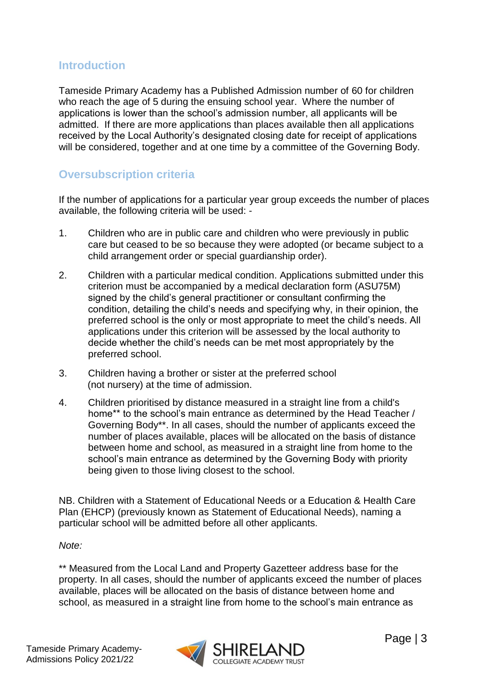### <span id="page-2-0"></span>**Introduction**

Tameside Primary Academy has a Published Admission number of 60 for children who reach the age of 5 during the ensuing school year. Where the number of applications is lower than the school's admission number, all applicants will be admitted. If there are more applications than places available then all applications received by the Local Authority's designated closing date for receipt of applications will be considered, together and at one time by a committee of the Governing Body.

# <span id="page-2-1"></span>**Oversubscription criteria**

If the number of applications for a particular year group exceeds the number of places available, the following criteria will be used: -

- 1. Children who are in public care and children who were previously in public care but ceased to be so because they were adopted (or became subject to a child arrangement order or special guardianship order).
- 2. Children with a particular medical condition. Applications submitted under this criterion must be accompanied by a medical declaration form (ASU75M) signed by the child's general practitioner or consultant confirming the condition, detailing the child's needs and specifying why, in their opinion, the preferred school is the only or most appropriate to meet the child's needs. All applications under this criterion will be assessed by the local authority to decide whether the child's needs can be met most appropriately by the preferred school.
- 3. Children having a brother or sister at the preferred school (not nursery) at the time of admission.
- 4. Children prioritised by distance measured in a straight line from a child's home\*\* to the school's main entrance as determined by the Head Teacher / Governing Body\*\*. In all cases, should the number of applicants exceed the number of places available, places will be allocated on the basis of distance between home and school, as measured in a straight line from home to the school's main entrance as determined by the Governing Body with priority being given to those living closest to the school.

NB. Children with a Statement of Educational Needs or a Education & Health Care Plan (EHCP) (previously known as Statement of Educational Needs), naming a particular school will be admitted before all other applicants.

*Note:* 

\*\* Measured from the Local Land and Property Gazetteer address base for the property. In all cases, should the number of applicants exceed the number of places available, places will be allocated on the basis of distance between home and school, as measured in a straight line from home to the school's main entrance as

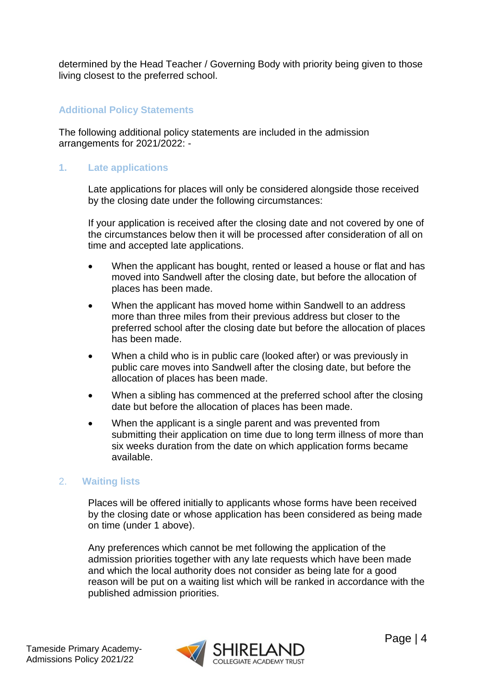determined by the Head Teacher / Governing Body with priority being given to those living closest to the preferred school.

#### <span id="page-3-0"></span>**Additional Policy Statements**

The following additional policy statements are included in the admission arrangements for 2021/2022: -

#### <span id="page-3-1"></span>**1. Late applications**

Late applications for places will only be considered alongside those received by the closing date under the following circumstances:

If your application is received after the closing date and not covered by one of the circumstances below then it will be processed after consideration of all on time and accepted late applications.

- When the applicant has bought, rented or leased a house or flat and has moved into Sandwell after the closing date, but before the allocation of places has been made.
- When the applicant has moved home within Sandwell to an address more than three miles from their previous address but closer to the preferred school after the closing date but before the allocation of places has been made.
- When a child who is in public care (looked after) or was previously in public care moves into Sandwell after the closing date, but before the allocation of places has been made.
- When a sibling has commenced at the preferred school after the closing date but before the allocation of places has been made.
- When the applicant is a single parent and was prevented from submitting their application on time due to long term illness of more than six weeks duration from the date on which application forms became available.

#### <span id="page-3-2"></span>2. **Waiting lists**

Places will be offered initially to applicants whose forms have been received by the closing date or whose application has been considered as being made on time (under 1 above).

Any preferences which cannot be met following the application of the admission priorities together with any late requests which have been made and which the local authority does not consider as being late for a good reason will be put on a waiting list which will be ranked in accordance with the published admission priorities.

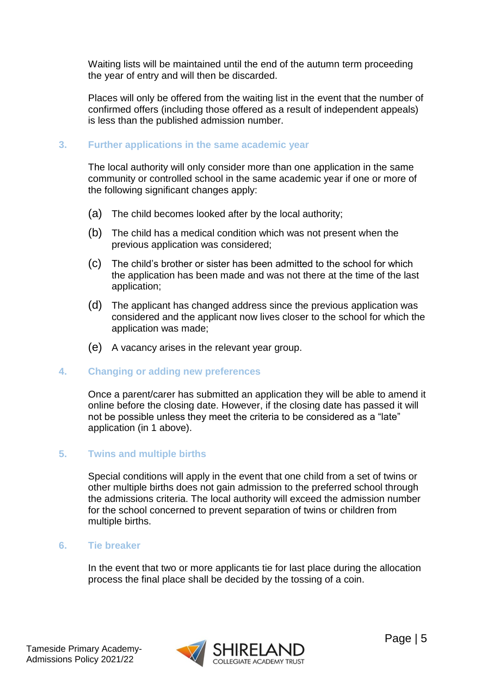Waiting lists will be maintained until the end of the autumn term proceeding the year of entry and will then be discarded.

Places will only be offered from the waiting list in the event that the number of confirmed offers (including those offered as a result of independent appeals) is less than the published admission number.

#### <span id="page-4-0"></span>**3. Further applications in the same academic year**

The local authority will only consider more than one application in the same community or controlled school in the same academic year if one or more of the following significant changes apply:

- (a) The child becomes looked after by the local authority;
- (b) The child has a medical condition which was not present when the previous application was considered;
- (c) The child's brother or sister has been admitted to the school for which the application has been made and was not there at the time of the last application;
- (d) The applicant has changed address since the previous application was considered and the applicant now lives closer to the school for which the application was made;
- (e) A vacancy arises in the relevant year group.

#### <span id="page-4-1"></span>**4. Changing or adding new preferences**

Once a parent/carer has submitted an application they will be able to amend it online before the closing date. However, if the closing date has passed it will not be possible unless they meet the criteria to be considered as a "late" application (in 1 above).

#### <span id="page-4-2"></span>**5. Twins and multiple births**

Special conditions will apply in the event that one child from a set of twins or other multiple births does not gain admission to the preferred school through the admissions criteria. The local authority will exceed the admission number for the school concerned to prevent separation of twins or children from multiple births.

#### <span id="page-4-3"></span>**6. Tie breaker**

In the event that two or more applicants tie for last place during the allocation process the final place shall be decided by the tossing of a coin.

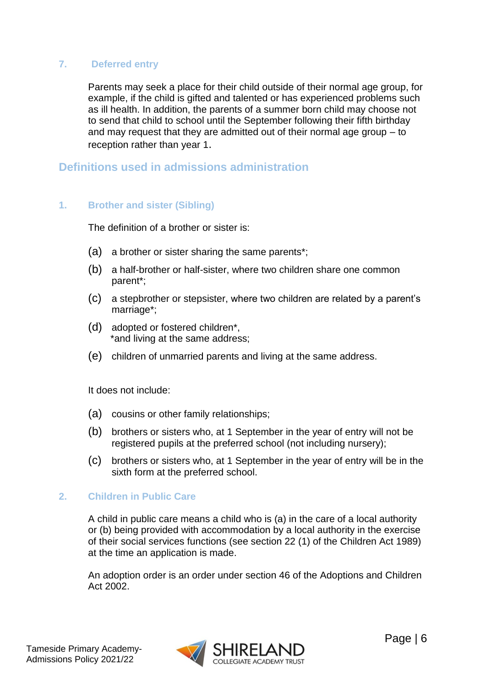#### <span id="page-5-0"></span>**7. Deferred entry**

Parents may seek a place for their child outside of their normal age group, for example, if the child is gifted and talented or has experienced problems such as ill health. In addition, the parents of a summer born child may choose not to send that child to school until the September following their fifth birthday and may request that they are admitted out of their normal age group – to reception rather than year 1.

#### <span id="page-5-1"></span>**Definitions used in admissions administration**

#### <span id="page-5-2"></span>**1. Brother and sister (Sibling)**

The definition of a brother or sister is:

- (a) a brother or sister sharing the same parents\*;
- (b) a half-brother or half-sister, where two children share one common parent\*;
- (c) a stepbrother or stepsister, where two children are related by a parent's marriage\*;
- (d) adopted or fostered children\*, \*and living at the same address;
- (e) children of unmarried parents and living at the same address.

It does not include:

- (a) cousins or other family relationships;
- (b) brothers or sisters who, at 1 September in the year of entry will not be registered pupils at the preferred school (not including nursery);
- (c) brothers or sisters who, at 1 September in the year of entry will be in the sixth form at the preferred school.

#### <span id="page-5-3"></span>**2. Children in Public Care**

A child in public care means a child who is (a) in the care of a local authority or (b) being provided with accommodation by a local authority in the exercise of their social services functions (see section 22 (1) of the Children Act 1989) at the time an application is made.

An adoption order is an order under section 46 of the Adoptions and Children Act 2002.